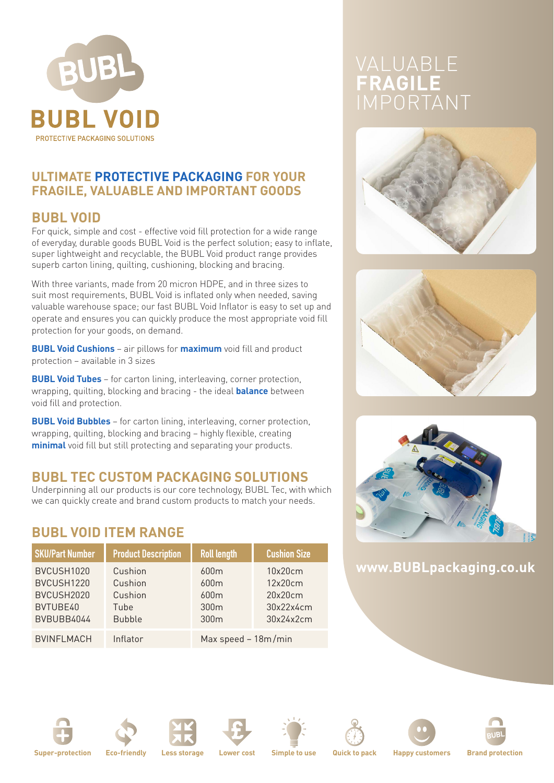

# **ULTIMATE PROTECTIVE PACKAGING FOR YOUR FRAGILE, VALUABLE AND IMPORTANT GOODS**

# **BUBL VOID**

For quick, simple and cost - effective void fill protection for a wide range of everyday, durable goods BUBL Void is the perfect solution; easy to inflate, super lightweight and recyclable, the BUBL Void product range provides superb carton lining, quilting, cushioning, blocking and bracing.

With three variants, made from 20 micron HDPE, and in three sizes to suit most requirements, BUBL Void is inflated only when needed, saving valuable warehouse space; our fast BUBL Void Inflator is easy to set up and operate and ensures you can quickly produce the most appropriate void fill protection for your goods, on demand.

**BUBL Void Cushions** – air pillows for **maximum** void fill and product protection – available in 3 sizes

**BUBL Void Tubes** – for carton lining, interleaving, corner protection, wrapping, quilting, blocking and bracing - the ideal **balance** between void fill and protection.

**BUBL Void Bubbles** – for carton lining, interleaving, corner protection, wrapping, quilting, blocking and bracing – highly flexible, creating **minimal** void fill but still protecting and separating your products.

# **BUBL TEC CUSTOM PACKAGING SOLUTIONS**

Underpinning all our products is our core technology, BUBL Tec, with which we can quickly create and brand custom products to match your needs.

# **BUBL VOID ITEM RANGE**

| <b>SKU/Part Number</b>                                           | <b>Product Description</b>                             | <b>Roll length</b>                                                                               | <b>Cushion Size</b>                                     |
|------------------------------------------------------------------|--------------------------------------------------------|--------------------------------------------------------------------------------------------------|---------------------------------------------------------|
| BVCUSH1020<br>BVCUSH1220<br>BVCUSH2020<br>BVTUBE40<br>BVBUBB4044 | Cushion<br>Cushion<br>Cushion<br>Tube<br><b>Bubble</b> | 600 <sub>m</sub><br>600 <sub>m</sub><br>600 <sub>m</sub><br>300 <sub>m</sub><br>300 <sub>m</sub> | 10x20cm<br>12x20cm<br>20x20cm<br>30x22x4cm<br>30x24x2cm |
| <b>BVINFLMACH</b>                                                | Inflator                                               | Max speed - 18m/min                                                                              |                                                         |

# **FRAGILE** IMPORTANT







**www.BUBLpackaging.co.uk**

















**Super-protection Eco-friendly Less storage Lower cost Simple to use Quick to pack Happy customers Brand protection**